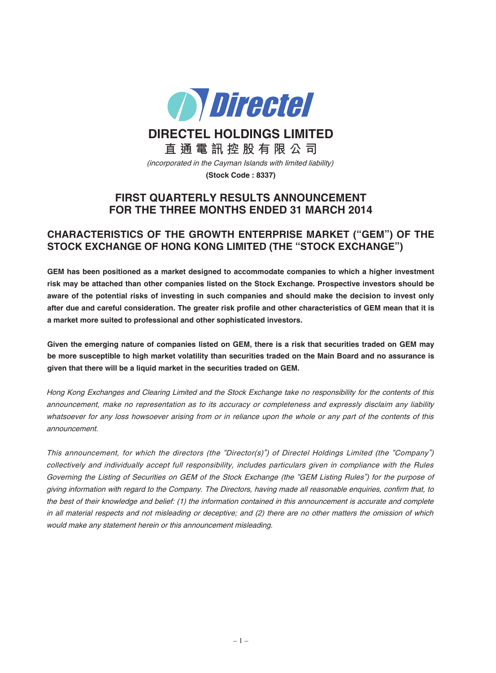

**DIRECTEL HOLDINGS LIMITED**

**直 通 電 訊 控 股 有 限 公 司**

(incorporated in the Cayman Islands with limited liability)

**(Stock Code : 8337)**

# **FIRST QUARTERLY RESULTS ANNOUNCEMENT FOR THE THREE MONTHS ENDED 31 MARCH 2014**

# **CHARACTERISTICS OF THE GROWTH ENTERPRISE MARKET ("GEM") OF THE STOCK EXCHANGE OF HONG KONG LIMITED (THE "STOCK EXCHANGE")**

**GEM has been positioned as a market designed to accommodate companies to which a higher investment risk may be attached than other companies listed on the Stock Exchange. Prospective investors should be** aware of the potential risks of investing in such companies and should make the decision to invest only after due and careful consideration. The greater risk profile and other characteristics of GEM mean that it is **a market more suited to professional and other sophisticated investors.**

Given the emerging nature of companies listed on GEM, there is a risk that securities traded on GEM may be more susceptible to high market volatility than securities traded on the Main Board and no assurance is **given that there will be a liquid market in the securities traded on GEM.**

Hong Kong Exchanges and Clearing Limited and the Stock Exchange take no responsibility for the contents of this announcement, make no representation as to its accuracy or completeness and expressly disclaim any liability whatsoever for any loss howsoever arising from or in reliance upon the whole or any part of the contents of this announcement.

This announcement, for which the directors (the "Director(s)") of Directel Holdings Limited (the "Company") collectively and individually accept full responsibility, includes particulars given in compliance with the Rules Governing the Listing of Securities on GEM of the Stock Exchange (the "GEM Listing Rules") for the purpose of giving information with regard to the Company. The Directors, having made all reasonable enquiries, confirm that, to the best of their knowledge and belief: (1) the information contained in this announcement is accurate and complete in all material respects and not misleading or deceptive; and (2) there are no other matters the omission of which would make any statement herein or this announcement misleading.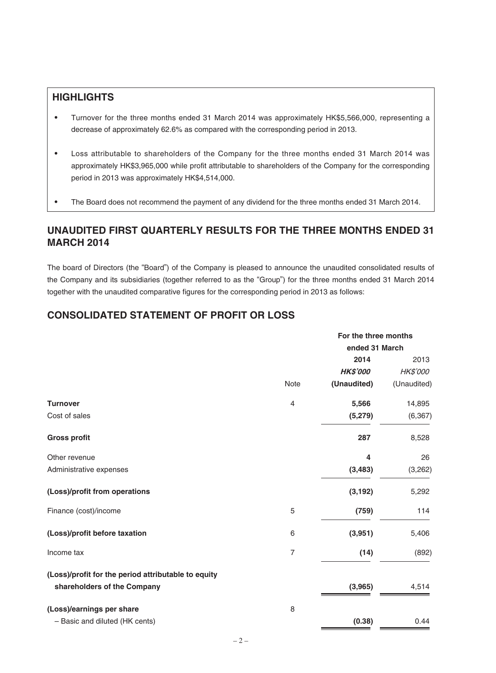# **HIGHLIGHTS**

- ‧ Turnover for the three months ended 31 March 2014 was approximately HK\$5,566,000, representing a decrease of approximately 62.6% as compared with the corresponding period in 2013.
- ‧ Loss attributable to shareholders of the Company for the three months ended 31 March 2014 was approximately HK\$3,965,000 while profit attributable to shareholders of the Company for the corresponding period in 2013 was approximately HK\$4,514,000.
- The Board does not recommend the payment of any dividend for the three months ended 31 March 2014.

# **UNAUDITED FIRST QUARTERLY RESULTS FOR THE THREE MONTHS ENDED 31 MARCH 2014**

The board of Directors (the "Board") of the Company is pleased to announce the unaudited consolidated results of the Company and its subsidiaries (together referred to as the "Group") for the three months ended 31 March 2014 together with the unaudited comparative figures for the corresponding period in 2013 as follows:

# **CONSOLIDATED STATEMENT OF PROFIT OR LOSS**

|                                                     |                | For the three months |             |  |
|-----------------------------------------------------|----------------|----------------------|-------------|--|
|                                                     |                | ended 31 March       |             |  |
|                                                     |                | 2014                 | 2013        |  |
|                                                     |                | <b>HK\$'000</b>      | HK\$'000    |  |
|                                                     | Note           | (Unaudited)          | (Unaudited) |  |
| <b>Turnover</b>                                     | $\overline{4}$ | 5,566                | 14,895      |  |
| Cost of sales                                       |                | (5, 279)             | (6, 367)    |  |
| <b>Gross profit</b>                                 |                | 287                  | 8,528       |  |
| Other revenue                                       |                | 4                    | 26          |  |
| Administrative expenses                             |                | (3, 483)             | (3,262)     |  |
| (Loss)/profit from operations                       |                | (3, 192)             | 5,292       |  |
| Finance (cost)/income                               | 5              | (759)                | 114         |  |
| (Loss)/profit before taxation                       | 6              | (3,951)              | 5,406       |  |
| Income tax                                          | $\overline{7}$ | (14)                 | (892)       |  |
| (Loss)/profit for the period attributable to equity |                |                      |             |  |
| shareholders of the Company                         |                | (3,965)              | 4,514       |  |
| (Loss)/earnings per share                           | 8              |                      |             |  |
| - Basic and diluted (HK cents)                      |                | (0.38)               | 0.44        |  |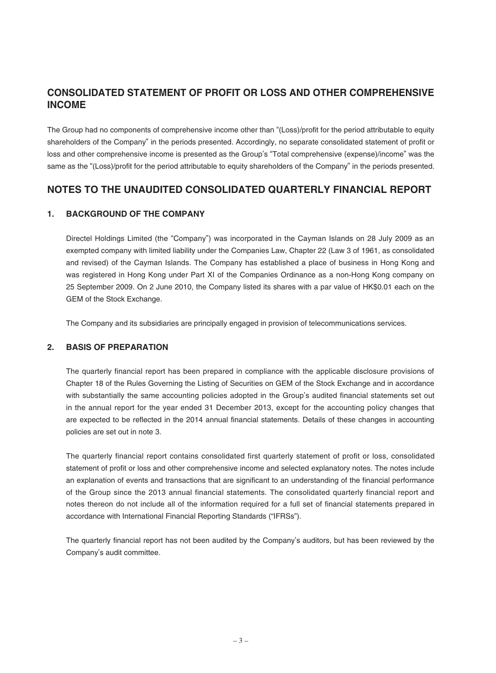# **CONSOLIDATED STATEMENT OF PROFIT OR LOSS AND OTHER COMPREHENSIVE INCOME**

The Group had no components of comprehensive income other than "(Loss)/profit for the period attributable to equity shareholders of the Company" in the periods presented. Accordingly, no separate consolidated statement of profit or loss and other comprehensive income is presented as the Group's "Total comprehensive (expense)/income" was the same as the "(Loss)/profit for the period attributable to equity shareholders of the Company" in the periods presented.

## **NOTES TO THE UNAUDITED CONSOLIDATED QUARTERLY FINANCIAL REPORT**

## **1. BACKGROUND OF THE COMPANY**

Directel Holdings Limited (the "Company") was incorporated in the Cayman Islands on 28 July 2009 as an exempted company with limited liability under the Companies Law, Chapter 22 (Law 3 of 1961, as consolidated and revised) of the Cayman Islands. The Company has established a place of business in Hong Kong and was registered in Hong Kong under Part XI of the Companies Ordinance as a non-Hong Kong company on 25 September 2009. On 2 June 2010, the Company listed its shares with a par value of HK\$0.01 each on the GEM of the Stock Exchange.

The Company and its subsidiaries are principally engaged in provision of telecommunications services.

## **2. BASIS OF PREPARATION**

The quarterly financial report has been prepared in compliance with the applicable disclosure provisions of Chapter 18 of the Rules Governing the Listing of Securities on GEM of the Stock Exchange and in accordance with substantially the same accounting policies adopted in the Group's audited financial statements set out in the annual report for the year ended 31 December 2013, except for the accounting policy changes that are expected to be reflected in the 2014 annual financial statements. Details of these changes in accounting policies are set out in note 3.

The quarterly financial report contains consolidated first quarterly statement of profit or loss, consolidated statement of profit or loss and other comprehensive income and selected explanatory notes. The notes include an explanation of events and transactions that are significant to an understanding of the financial performance of the Group since the 2013 annual financial statements. The consolidated quarterly financial report and notes thereon do not include all of the information required for a full set of financial statements prepared in accordance with International Financial Reporting Standards ("IFRSs").

The quarterly financial report has not been audited by the Company's auditors, but has been reviewed by the Company's audit committee.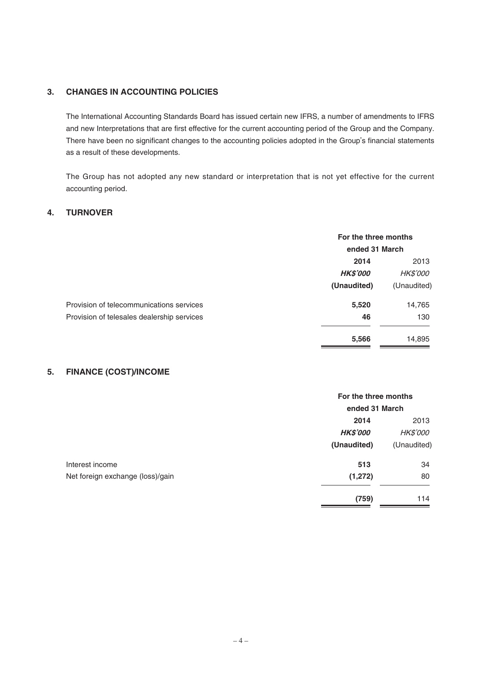## **3. CHANGES IN ACCOUNTING POLICIES**

The International Accounting Standards Board has issued certain new IFRS, a number of amendments to IFRS and new Interpretations that are first effective for the current accounting period of the Group and the Company. There have been no significant changes to the accounting policies adopted in the Group's financial statements as a result of these developments.

The Group has not adopted any new standard or interpretation that is not yet effective for the current accounting period.

## **4. TURNOVER**

|                                            | For the three months<br>ended 31 March |                 |
|--------------------------------------------|----------------------------------------|-----------------|
|                                            | 2014                                   |                 |
|                                            | <b>HK\$'000</b>                        | <b>HK\$'000</b> |
|                                            | (Unaudited)                            | (Unaudited)     |
| Provision of telecommunications services   | 5,520                                  | 14,765          |
| Provision of telesales dealership services | 46                                     | 130             |
|                                            | 5,566                                  | 14,895          |

## **5. FINANCE (COST)/INCOME**

|                                  | For the three months |                 |
|----------------------------------|----------------------|-----------------|
|                                  | ended 31 March       |                 |
|                                  | 2014                 | 2013            |
|                                  | <b>HK\$'000</b>      | <b>HK\$'000</b> |
|                                  | (Unaudited)          | (Unaudited)     |
| Interest income                  | 513                  | 34              |
| Net foreign exchange (loss)/gain | (1, 272)             | 80              |
|                                  | (759)                | 114             |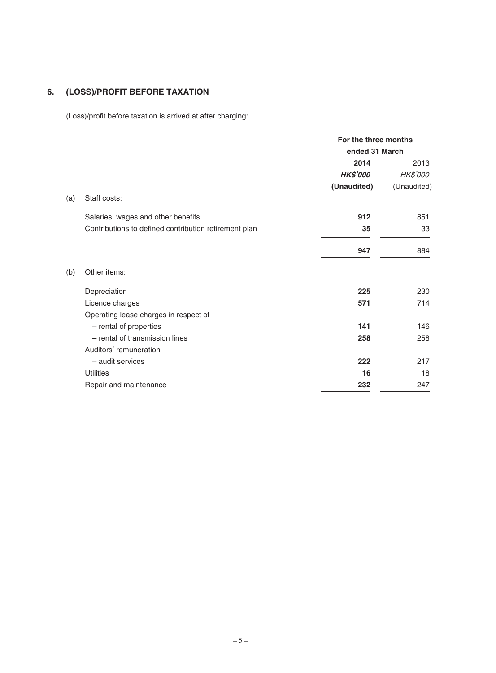# **6. (LOSS)/PROFIT BEFORE TAXATION**

(Loss)/profit before taxation is arrived at after charging:

|                                                       | For the three months<br>ended 31 March |                 |
|-------------------------------------------------------|----------------------------------------|-----------------|
|                                                       | 2014                                   | 2013            |
|                                                       | <b>HK\$'000</b>                        | <b>HK\$'000</b> |
|                                                       | (Unaudited)                            | (Unaudited)     |
| Staff costs:<br>(a)                                   |                                        |                 |
| Salaries, wages and other benefits                    | 912                                    | 851             |
| Contributions to defined contribution retirement plan | 35                                     | 33              |
|                                                       | 947                                    | 884             |
| Other items:<br>(b)                                   |                                        |                 |
| Depreciation                                          | 225                                    | 230             |
| Licence charges                                       | 571                                    | 714             |
| Operating lease charges in respect of                 |                                        |                 |
| - rental of properties                                | 141                                    | 146             |
| - rental of transmission lines                        | 258                                    | 258             |
| Auditors' remuneration                                |                                        |                 |
| - audit services                                      | 222                                    | 217             |
| <b>Utilities</b>                                      | 16                                     | 18              |
| Repair and maintenance                                | 232                                    | 247             |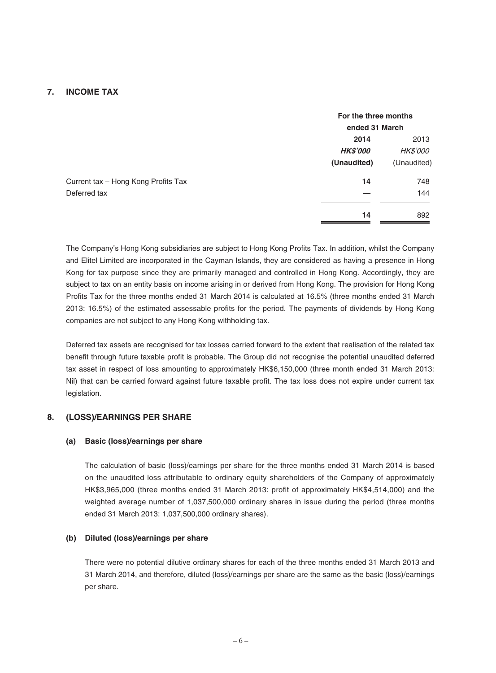## **7. INCOME TAX**

|                 | For the three months |  |
|-----------------|----------------------|--|
|                 | ended 31 March       |  |
| 2014            | 2013                 |  |
| <b>HK\$'000</b> | <b>HK\$'000</b>      |  |
| (Unaudited)     | (Unaudited)          |  |
| 14              | 748                  |  |
|                 | 144                  |  |
| 14              | 892                  |  |
|                 |                      |  |

The Company's Hong Kong subsidiaries are subject to Hong Kong Profits Tax. In addition, whilst the Company and Elitel Limited are incorporated in the Cayman Islands, they are considered as having a presence in Hong Kong for tax purpose since they are primarily managed and controlled in Hong Kong. Accordingly, they are subject to tax on an entity basis on income arising in or derived from Hong Kong. The provision for Hong Kong Profits Tax for the three months ended 31 March 2014 is calculated at 16.5% (three months ended 31 March 2013: 16.5%) of the estimated assessable profits for the period. The payments of dividends by Hong Kong companies are not subject to any Hong Kong withholding tax.

Deferred tax assets are recognised for tax losses carried forward to the extent that realisation of the related tax benefit through future taxable profit is probable. The Group did not recognise the potential unaudited deferred tax asset in respect of loss amounting to approximately HK\$6,150,000 (three month ended 31 March 2013: Nil) that can be carried forward against future taxable profit. The tax loss does not expire under current tax legislation.

## **8. (LOSS)/EARNINGS PER SHARE**

#### **(a) Basic (loss)/earnings per share**

The calculation of basic (loss)/earnings per share for the three months ended 31 March 2014 is based on the unaudited loss attributable to ordinary equity shareholders of the Company of approximately HK\$3,965,000 (three months ended 31 March 2013: profit of approximately HK\$4,514,000) and the weighted average number of 1,037,500,000 ordinary shares in issue during the period (three months ended 31 March 2013: 1,037,500,000 ordinary shares).

#### **(b) Diluted (loss)/earnings per share**

There were no potential dilutive ordinary shares for each of the three months ended 31 March 2013 and 31 March 2014, and therefore, diluted (loss)/earnings per share are the same as the basic (loss)/earnings per share.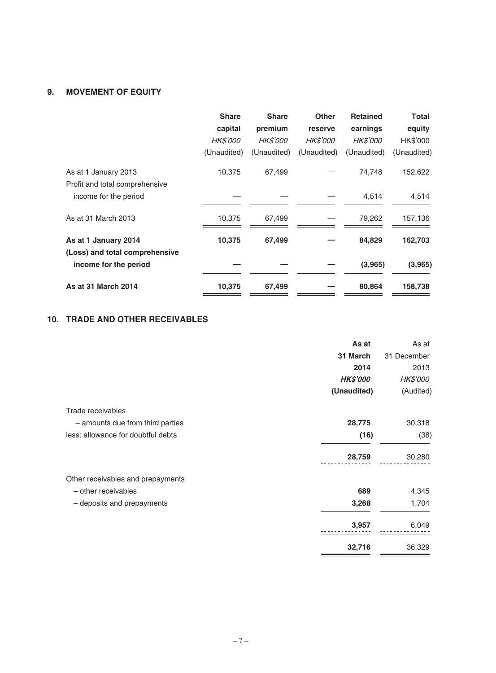## **9. MOVEMENT OF EQUITY**

|                                                        | <b>Share</b>    | <b>Share</b>    | <b>Other</b>    | <b>Retained</b> | <b>Total</b> |
|--------------------------------------------------------|-----------------|-----------------|-----------------|-----------------|--------------|
|                                                        | capital         | premium         | reserve         | earnings        | equity       |
|                                                        | <b>HK\$'000</b> | <b>HK\$'000</b> | <b>HK\$'000</b> | <b>HK\$'000</b> | HK\$'000     |
|                                                        | (Unaudited)     | (Unaudited)     | (Unaudited)     | (Unaudited)     | (Unaudited)  |
| As at 1 January 2013<br>Profit and total comprehensive | 10,375          | 67,499          |                 | 74,748          | 152,622      |
| income for the period                                  |                 |                 |                 | 4,514           | 4,514        |
| As at 31 March 2013                                    | 10.375          | 67.499          |                 | 79.262          | 157,136      |
| As at 1 January 2014<br>(Loss) and total comprehensive | 10,375          | 67,499          |                 | 84,829          | 162,703      |
| income for the period                                  |                 |                 |                 | (3,965)         | (3,965)      |
| <b>As at 31 March 2014</b>                             | 10,375          | 67,499          |                 | 80,864          | 158,738      |

## **10. TRADE AND OTHER RECEIVABLES**

|                                    | As at           | As at       |
|------------------------------------|-----------------|-------------|
|                                    | 31 March        | 31 December |
|                                    | 2014            | 2013        |
|                                    | <b>HK\$'000</b> | HK\$'000    |
|                                    | (Unaudited)     | (Audited)   |
| Trade receivables                  |                 |             |
| - amounts due from third parties   | 28,775          | 30,318      |
| less: allowance for doubtful debts | (16)            | (38)        |
|                                    | 28,759          | 30,280      |
| Other receivables and prepayments  |                 |             |
| - other receivables                | 689             | 4,345       |
| - deposits and prepayments         | 3,268           | 1,704       |
|                                    | 3,957           | 6,049       |
|                                    | 32,716          | 36,329      |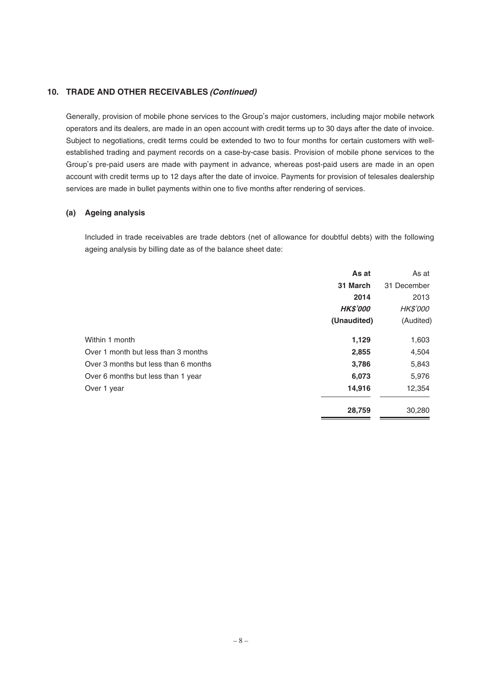## **10. TRADE AND OTHER RECEIVABLES (Continued)**

Generally, provision of mobile phone services to the Group's major customers, including major mobile network operators and its dealers, are made in an open account with credit terms up to 30 days after the date of invoice. Subject to negotiations, credit terms could be extended to two to four months for certain customers with wellestablished trading and payment records on a case-by-case basis. Provision of mobile phone services to the Group's pre-paid users are made with payment in advance, whereas post-paid users are made in an open account with credit terms up to 12 days after the date of invoice. Payments for provision of telesales dealership services are made in bullet payments within one to five months after rendering of services.

#### **(a) Ageing analysis**

Included in trade receivables are trade debtors (net of allowance for doubtful debts) with the following ageing analysis by billing date as of the balance sheet date:

|                                      | As at           | As at           |
|--------------------------------------|-----------------|-----------------|
|                                      | 31 March        | 31 December     |
|                                      | 2014            | 2013            |
|                                      | <b>HK\$'000</b> | <b>HK\$'000</b> |
|                                      | (Unaudited)     | (Audited)       |
| Within 1 month                       | 1,129           | 1,603           |
| Over 1 month but less than 3 months  | 2,855           | 4,504           |
| Over 3 months but less than 6 months | 3,786           | 5,843           |
| Over 6 months but less than 1 year   | 6,073           | 5,976           |
| Over 1 year                          | 14,916          | 12,354          |
|                                      | 28,759          | 30,280          |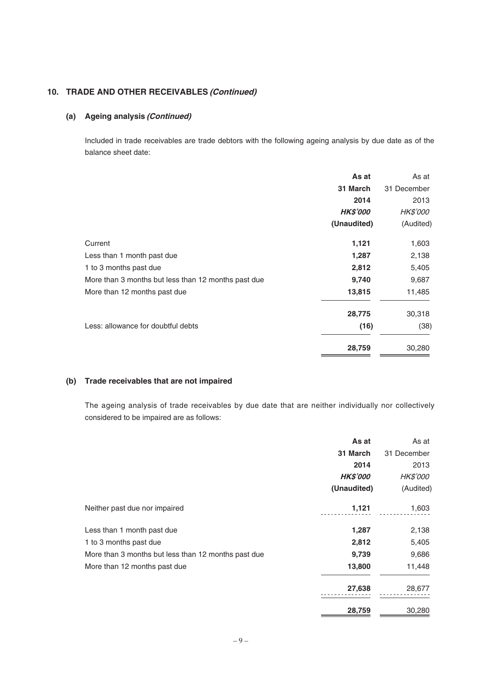## **10. TRADE AND OTHER RECEIVABLES (Continued)**

### **(a) Ageing analysis (Continued)**

Included in trade receivables are trade debtors with the following ageing analysis by due date as of the balance sheet date:

|                                                     | As at           | As at           |
|-----------------------------------------------------|-----------------|-----------------|
|                                                     | 31 March        | 31 December     |
|                                                     | 2014            | 2013            |
|                                                     | <b>HK\$'000</b> | <b>HK\$'000</b> |
|                                                     | (Unaudited)     | (Audited)       |
| Current                                             | 1,121           | 1,603           |
| Less than 1 month past due                          | 1,287           | 2,138           |
| 1 to 3 months past due                              | 2,812           | 5,405           |
| More than 3 months but less than 12 months past due | 9,740           | 9,687           |
| More than 12 months past due                        | 13,815          | 11,485          |
|                                                     | 28,775          | 30,318          |
| Less: allowance for doubtful debts                  | (16)            | (38)            |
|                                                     | 28,759          | 30,280          |

## **(b) Trade receivables that are not impaired**

The ageing analysis of trade receivables by due date that are neither individually nor collectively considered to be impaired are as follows:

|                                                     | As at           | As at           |
|-----------------------------------------------------|-----------------|-----------------|
|                                                     | 31 March        | 31 December     |
|                                                     | 2014            | 2013            |
|                                                     | <b>HK\$'000</b> | <b>HK\$'000</b> |
|                                                     | (Unaudited)     | (Audited)       |
| Neither past due nor impaired                       | 1,121           | 1,603           |
| Less than 1 month past due                          | 1,287           | 2,138           |
| 1 to 3 months past due                              | 2,812           | 5,405           |
| More than 3 months but less than 12 months past due | 9,739           | 9,686           |
| More than 12 months past due                        | 13,800          | 11,448          |
|                                                     | 27,638          | 28,677          |
|                                                     | 28,759          | 30,280          |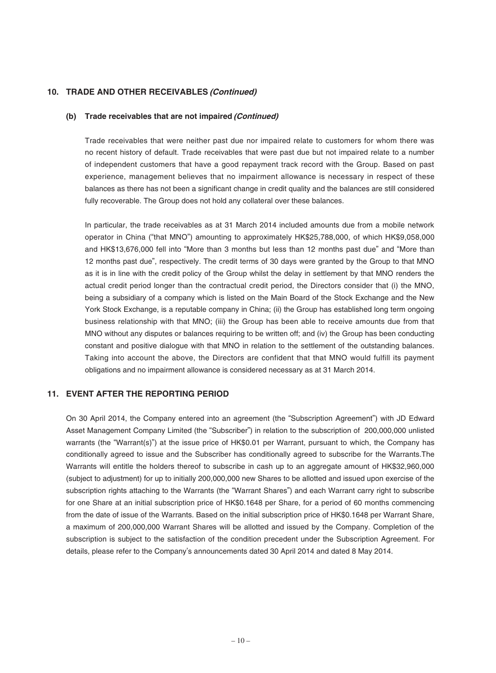## **10. TRADE AND OTHER RECEIVABLES (Continued)**

#### **(b) Trade receivables that are not impaired (Continued)**

Trade receivables that were neither past due nor impaired relate to customers for whom there was no recent history of default. Trade receivables that were past due but not impaired relate to a number of independent customers that have a good repayment track record with the Group. Based on past experience, management believes that no impairment allowance is necessary in respect of these balances as there has not been a significant change in credit quality and the balances are still considered fully recoverable. The Group does not hold any collateral over these balances.

In particular, the trade receivables as at 31 March 2014 included amounts due from a mobile network operator in China ("that MNO") amounting to approximately HK\$25,788,000, of which HK\$9,058,000 and HK\$13,676,000 fell into "More than 3 months but less than 12 months past due" and "More than 12 months past due", respectively. The credit terms of 30 days were granted by the Group to that MNO as it is in line with the credit policy of the Group whilst the delay in settlement by that MNO renders the actual credit period longer than the contractual credit period, the Directors consider that (i) the MNO, being a subsidiary of a company which is listed on the Main Board of the Stock Exchange and the New York Stock Exchange, is a reputable company in China; (ii) the Group has established long term ongoing business relationship with that MNO; (iii) the Group has been able to receive amounts due from that MNO without any disputes or balances requiring to be written off; and (iv) the Group has been conducting constant and positive dialogue with that MNO in relation to the settlement of the outstanding balances. Taking into account the above, the Directors are confident that that MNO would fulfill its payment obligations and no impairment allowance is considered necessary as at 31 March 2014.

## **11. EVENT AFTER THE REPORTING PERIOD**

On 30 April 2014, the Company entered into an agreement (the "Subscription Agreement") with JD Edward Asset Management Company Limited (the "Subscriber") in relation to the subscription of 200,000,000 unlisted warrants (the "Warrant(s)") at the issue price of HK\$0.01 per Warrant, pursuant to which, the Company has conditionally agreed to issue and the Subscriber has conditionally agreed to subscribe for the Warrants.The Warrants will entitle the holders thereof to subscribe in cash up to an aggregate amount of HK\$32,960,000 (subject to adjustment) for up to initially 200,000,000 new Shares to be allotted and issued upon exercise of the subscription rights attaching to the Warrants (the "Warrant Shares") and each Warrant carry right to subscribe for one Share at an initial subscription price of HK\$0.1648 per Share, for a period of 60 months commencing from the date of issue of the Warrants. Based on the initial subscription price of HK\$0.1648 per Warrant Share, a maximum of 200,000,000 Warrant Shares will be allotted and issued by the Company. Completion of the subscription is subject to the satisfaction of the condition precedent under the Subscription Agreement. For details, please refer to the Company's announcements dated 30 April 2014 and dated 8 May 2014.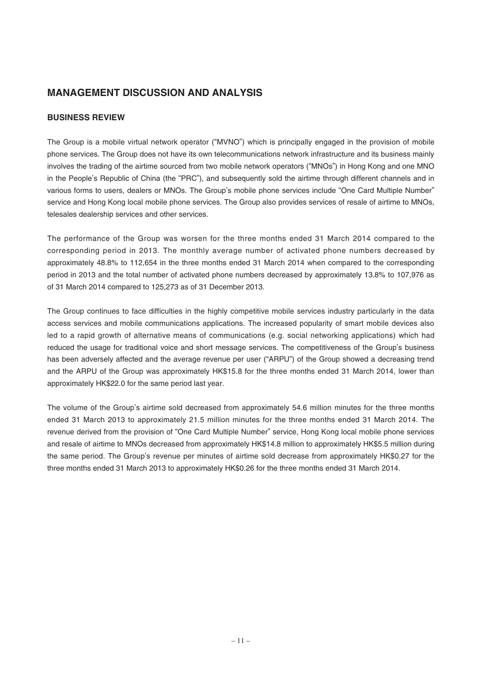## **MANAGEMENT DISCUSSION AND ANALYSIS**

## **BUSINESS REVIEW**

The Group is a mobile virtual network operator ("MVNO") which is principally engaged in the provision of mobile phone services. The Group does not have its own telecommunications network infrastructure and its business mainly involves the trading of the airtime sourced from two mobile network operators ("MNOs") in Hong Kong and one MNO in the People's Republic of China (the "PRC"), and subsequently sold the airtime through different channels and in various forms to users, dealers or MNOs. The Group's mobile phone services include "One Card Multiple Number" service and Hong Kong local mobile phone services. The Group also provides services of resale of airtime to MNOs, telesales dealership services and other services.

The performance of the Group was worsen for the three months ended 31 March 2014 compared to the corresponding period in 2013. The monthly average number of activated phone numbers decreased by approximately 48.8% to 112,654 in the three months ended 31 March 2014 when compared to the corresponding period in 2013 and the total number of activated phone numbers decreased by approximately 13.8% to 107,976 as of 31 March 2014 compared to 125,273 as of 31 December 2013.

The Group continues to face difficulties in the highly competitive mobile services industry particularly in the data access services and mobile communications applications. The increased popularity of smart mobile devices also led to a rapid growth of alternative means of communications (e.g. social networking applications) which had reduced the usage for traditional voice and short message services. The competitiveness of the Group's business has been adversely affected and the average revenue per user ("ARPU") of the Group showed a decreasing trend and the ARPU of the Group was approximately HK\$15.8 for the three months ended 31 March 2014, lower than approximately HK\$22.0 for the same period last year.

The volume of the Group's airtime sold decreased from approximately 54.6 million minutes for the three months ended 31 March 2013 to approximately 21.5 million minutes for the three months ended 31 March 2014. The revenue derived from the provision of "One Card Multiple Number" service, Hong Kong local mobile phone services and resale of airtime to MNOs decreased from approximately HK\$14.8 million to approximately HK\$5.5 million during the same period. The Group's revenue per minutes of airtime sold decrease from approximately HK\$0.27 for the three months ended 31 March 2013 to approximately HK\$0.26 for the three months ended 31 March 2014.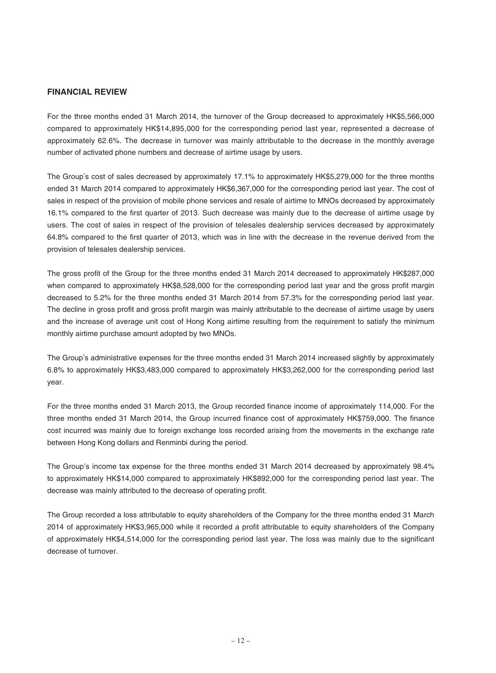### **FINANCIAL REVIEW**

For the three months ended 31 March 2014, the turnover of the Group decreased to approximately HK\$5,566,000 compared to approximately HK\$14,895,000 for the corresponding period last year, represented a decrease of approximately 62.6%. The decrease in turnover was mainly attributable to the decrease in the monthly average number of activated phone numbers and decrease of airtime usage by users.

The Group's cost of sales decreased by approximately 17.1% to approximately HK\$5,279,000 for the three months ended 31 March 2014 compared to approximately HK\$6,367,000 for the corresponding period last year. The cost of sales in respect of the provision of mobile phone services and resale of airtime to MNOs decreased by approximately 16.1% compared to the first quarter of 2013. Such decrease was mainly due to the decrease of airtime usage by users. The cost of sales in respect of the provision of telesales dealership services decreased by approximately 64.8% compared to the first quarter of 2013, which was in line with the decrease in the revenue derived from the provision of telesales dealership services.

The gross profit of the Group for the three months ended 31 March 2014 decreased to approximately HK\$287,000 when compared to approximately HK\$8,528,000 for the corresponding period last year and the gross profit margin decreased to 5.2% for the three months ended 31 March 2014 from 57.3% for the corresponding period last year. The decline in gross profit and gross profit margin was mainly attributable to the decrease of airtime usage by users and the increase of average unit cost of Hong Kong airtime resulting from the requirement to satisfy the minimum monthly airtime purchase amount adopted by two MNOs.

The Group's administrative expenses for the three months ended 31 March 2014 increased slightly by approximately 6.8% to approximately HK\$3,483,000 compared to approximately HK\$3,262,000 for the corresponding period last year.

For the three months ended 31 March 2013, the Group recorded finance income of approximately 114,000. For the three months ended 31 March 2014, the Group incurred finance cost of approximately HK\$759,000. The finance cost incurred was mainly due to foreign exchange loss recorded arising from the movements in the exchange rate between Hong Kong dollars and Renminbi during the period.

The Group's income tax expense for the three months ended 31 March 2014 decreased by approximately 98.4% to approximately HK\$14,000 compared to approximately HK\$892,000 for the corresponding period last year. The decrease was mainly attributed to the decrease of operating profit.

The Group recorded a loss attributable to equity shareholders of the Company for the three months ended 31 March 2014 of approximately HK\$3,965,000 while it recorded a profit attributable to equity shareholders of the Company of approximately HK\$4,514,000 for the corresponding period last year. The loss was mainly due to the significant decrease of turnover.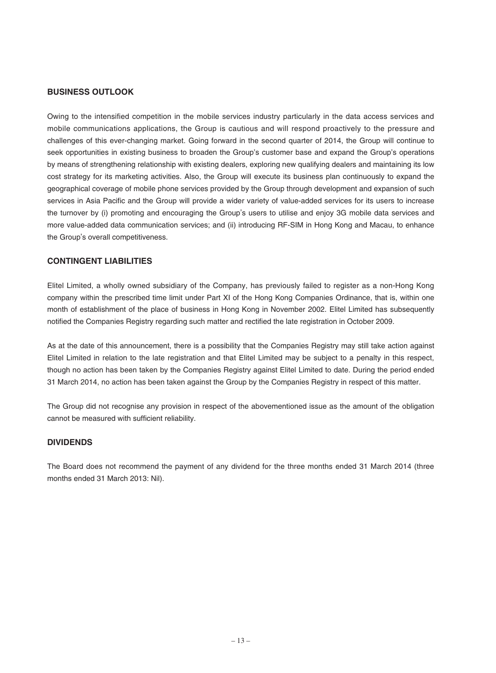### **BUSINESS OUTLOOK**

Owing to the intensified competition in the mobile services industry particularly in the data access services and mobile communications applications, the Group is cautious and will respond proactively to the pressure and challenges of this ever-changing market. Going forward in the second quarter of 2014, the Group will continue to seek opportunities in existing business to broaden the Group's customer base and expand the Group's operations by means of strengthening relationship with existing dealers, exploring new qualifying dealers and maintaining its low cost strategy for its marketing activities. Also, the Group will execute its business plan continuously to expand the geographical coverage of mobile phone services provided by the Group through development and expansion of such services in Asia Pacific and the Group will provide a wider variety of value-added services for its users to increase the turnover by (i) promoting and encouraging the Group's users to utilise and enjoy 3G mobile data services and more value-added data communication services; and (ii) introducing RF-SIM in Hong Kong and Macau, to enhance the Group's overall competitiveness.

### **CONTINGENT LIABILITIES**

Elitel Limited, a wholly owned subsidiary of the Company, has previously failed to register as a non-Hong Kong company within the prescribed time limit under Part XI of the Hong Kong Companies Ordinance, that is, within one month of establishment of the place of business in Hong Kong in November 2002. Elitel Limited has subsequently notified the Companies Registry regarding such matter and rectified the late registration in October 2009.

As at the date of this announcement, there is a possibility that the Companies Registry may still take action against Elitel Limited in relation to the late registration and that Elitel Limited may be subject to a penalty in this respect, though no action has been taken by the Companies Registry against Elitel Limited to date. During the period ended 31 March 2014, no action has been taken against the Group by the Companies Registry in respect of this matter.

The Group did not recognise any provision in respect of the abovementioned issue as the amount of the obligation cannot be measured with sufficient reliability.

#### **DIVIDENDS**

The Board does not recommend the payment of any dividend for the three months ended 31 March 2014 (three months ended 31 March 2013: Nil).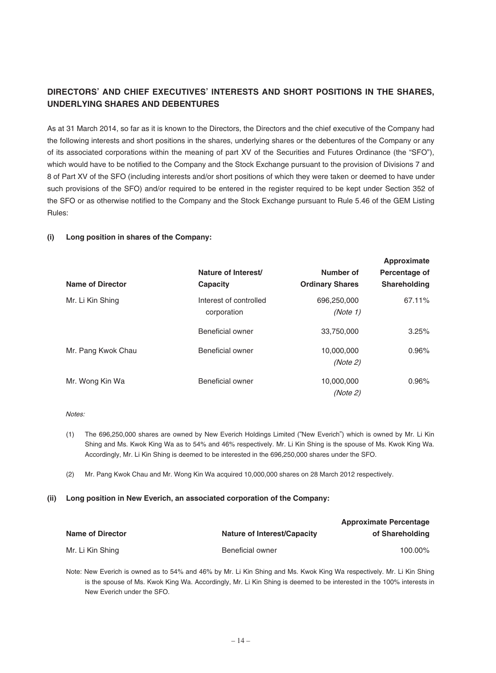## **DIRECTORS' AND CHIEF EXECUTIVES' INTERESTS AND SHORT POSITIONS IN THE SHARES, UNDERLYING SHARES AND DEBENTURES**

As at 31 March 2014, so far as it is known to the Directors, the Directors and the chief executive of the Company had the following interests and short positions in the shares, underlying shares or the debentures of the Company or any of its associated corporations within the meaning of part XV of the Securities and Futures Ordinance (the "SFO"), which would have to be notified to the Company and the Stock Exchange pursuant to the provision of Divisions 7 and 8 of Part XV of the SFO (including interests and/or short positions of which they were taken or deemed to have under such provisions of the SFO) and/or required to be entered in the register required to be kept under Section 352 of the SFO or as otherwise notified to the Company and the Stock Exchange pursuant to Rule 5.46 of the GEM Listing Rules:

#### **(i) Long position in shares of the Company:**

| Name of Director   | Nature of Interest/<br>Capacity       | Number of<br><b>Ordinary Shares</b> | Approximate<br>Percentage of<br><b>Shareholding</b> |
|--------------------|---------------------------------------|-------------------------------------|-----------------------------------------------------|
| Mr. Li Kin Shing   | Interest of controlled<br>corporation | 696,250,000<br>(Note 1)             | 67.11%                                              |
|                    | Beneficial owner                      | 33.750.000                          | 3.25%                                               |
| Mr. Pang Kwok Chau | Beneficial owner                      | 10,000,000<br>(Note 2)              | 0.96%                                               |
| Mr. Wong Kin Wa    | <b>Beneficial owner</b>               | 10,000,000<br>(Note 2)              | 0.96%                                               |

**Approximate**

#### Notes:

- (1) The 696,250,000 shares are owned by New Everich Holdings Limited ("New Everich") which is owned by Mr. Li Kin Shing and Ms. Kwok King Wa as to 54% and 46% respectively. Mr. Li Kin Shing is the spouse of Ms. Kwok King Wa. Accordingly, Mr. Li Kin Shing is deemed to be interested in the 696,250,000 shares under the SFO.
- (2) Mr. Pang Kwok Chau and Mr. Wong Kin Wa acquired 10,000,000 shares on 28 March 2012 respectively.

#### **(ii) Long position in New Everich, an associated corporation of the Company:**

|                         |                                    | <b>Approximate Percentage</b> |
|-------------------------|------------------------------------|-------------------------------|
| <b>Name of Director</b> | <b>Nature of Interest/Capacity</b> | of Shareholding               |
| Mr. Li Kin Shing        | Beneficial owner                   | 100.00%                       |

Note: New Everich is owned as to 54% and 46% by Mr. Li Kin Shing and Ms. Kwok King Wa respectively. Mr. Li Kin Shing is the spouse of Ms. Kwok King Wa. Accordingly, Mr. Li Kin Shing is deemed to be interested in the 100% interests in New Everich under the SFO.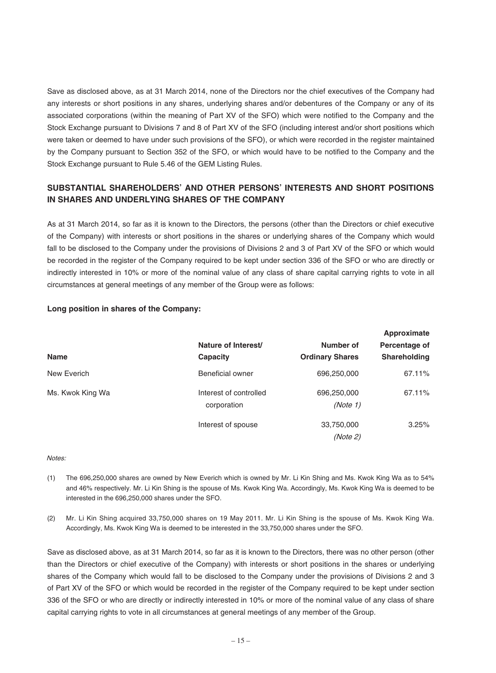Save as disclosed above, as at 31 March 2014, none of the Directors nor the chief executives of the Company had any interests or short positions in any shares, underlying shares and/or debentures of the Company or any of its associated corporations (within the meaning of Part XV of the SFO) which were notified to the Company and the Stock Exchange pursuant to Divisions 7 and 8 of Part XV of the SFO (including interest and/or short positions which were taken or deemed to have under such provisions of the SFO), or which were recorded in the register maintained by the Company pursuant to Section 352 of the SFO, or which would have to be notified to the Company and the Stock Exchange pursuant to Rule 5.46 of the GEM Listing Rules.

## **SUBSTANTIAL SHAREHOLDERS' AND OTHER PERSONS' INTERESTS AND SHORT POSITIONS IN SHARES AND UNDERLYING SHARES OF THE COMPANY**

As at 31 March 2014, so far as it is known to the Directors, the persons (other than the Directors or chief executive of the Company) with interests or short positions in the shares or underlying shares of the Company which would fall to be disclosed to the Company under the provisions of Divisions 2 and 3 of Part XV of the SFO or which would be recorded in the register of the Company required to be kept under section 336 of the SFO or who are directly or indirectly interested in 10% or more of the nominal value of any class of share capital carrying rights to vote in all circumstances at general meetings of any member of the Group were as follows:

| <b>Name</b>      | Nature of Interest/<br>Capacity       | Number of<br><b>Ordinary Shares</b> | Approximate<br>Percentage of<br><b>Shareholding</b> |
|------------------|---------------------------------------|-------------------------------------|-----------------------------------------------------|
| New Everich      | Beneficial owner                      | 696,250,000                         | 67.11%                                              |
| Ms. Kwok King Wa | Interest of controlled<br>corporation | 696,250,000<br>(Note 1)             | 67.11%                                              |
|                  | Interest of spouse                    | 33,750,000<br>(Note 2)              | 3.25%                                               |

## **Long position in shares of the Company:**

#### Notes:

- (1) The 696,250,000 shares are owned by New Everich which is owned by Mr. Li Kin Shing and Ms. Kwok King Wa as to 54% and 46% respectively. Mr. Li Kin Shing is the spouse of Ms. Kwok King Wa. Accordingly, Ms. Kwok King Wa is deemed to be interested in the 696,250,000 shares under the SFO.
- (2) Mr. Li Kin Shing acquired 33,750,000 shares on 19 May 2011. Mr. Li Kin Shing is the spouse of Ms. Kwok King Wa. Accordingly, Ms. Kwok King Wa is deemed to be interested in the 33,750,000 shares under the SFO.

Save as disclosed above, as at 31 March 2014, so far as it is known to the Directors, there was no other person (other than the Directors or chief executive of the Company) with interests or short positions in the shares or underlying shares of the Company which would fall to be disclosed to the Company under the provisions of Divisions 2 and 3 of Part XV of the SFO or which would be recorded in the register of the Company required to be kept under section 336 of the SFO or who are directly or indirectly interested in 10% or more of the nominal value of any class of share capital carrying rights to vote in all circumstances at general meetings of any member of the Group.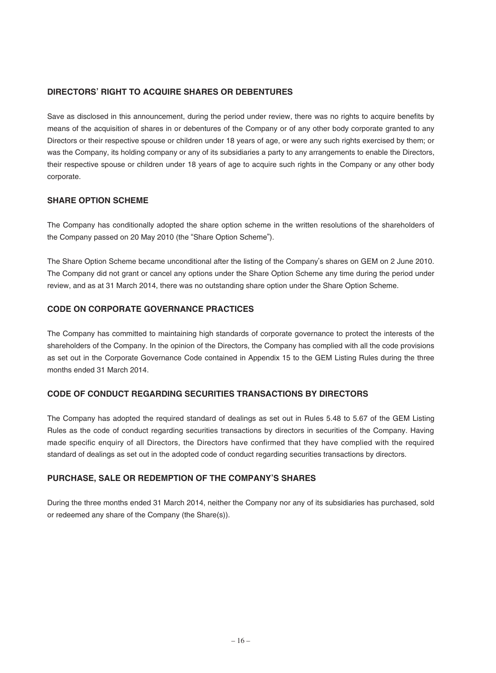## **DIRECTORS' RIGHT TO ACQUIRE SHARES OR DEBENTURES**

Save as disclosed in this announcement, during the period under review, there was no rights to acquire benefits by means of the acquisition of shares in or debentures of the Company or of any other body corporate granted to any Directors or their respective spouse or children under 18 years of age, or were any such rights exercised by them; or was the Company, its holding company or any of its subsidiaries a party to any arrangements to enable the Directors, their respective spouse or children under 18 years of age to acquire such rights in the Company or any other body corporate.

## **SHARE OPTION SCHEME**

The Company has conditionally adopted the share option scheme in the written resolutions of the shareholders of the Company passed on 20 May 2010 (the "Share Option Scheme").

The Share Option Scheme became unconditional after the listing of the Company's shares on GEM on 2 June 2010. The Company did not grant or cancel any options under the Share Option Scheme any time during the period under review, and as at 31 March 2014, there was no outstanding share option under the Share Option Scheme.

## **CODE ON CORPORATE GOVERNANCE PRACTICES**

The Company has committed to maintaining high standards of corporate governance to protect the interests of the shareholders of the Company. In the opinion of the Directors, the Company has complied with all the code provisions as set out in the Corporate Governance Code contained in Appendix 15 to the GEM Listing Rules during the three months ended 31 March 2014.

## **CODE OF CONDUCT REGARDING SECURITIES TRANSACTIONS BY DIRECTORS**

The Company has adopted the required standard of dealings as set out in Rules 5.48 to 5.67 of the GEM Listing Rules as the code of conduct regarding securities transactions by directors in securities of the Company. Having made specific enquiry of all Directors, the Directors have confirmed that they have complied with the required standard of dealings as set out in the adopted code of conduct regarding securities transactions by directors.

## **PURCHASE, SALE OR REDEMPTION OF THE COMPANY'S SHARES**

During the three months ended 31 March 2014, neither the Company nor any of its subsidiaries has purchased, sold or redeemed any share of the Company (the Share(s)).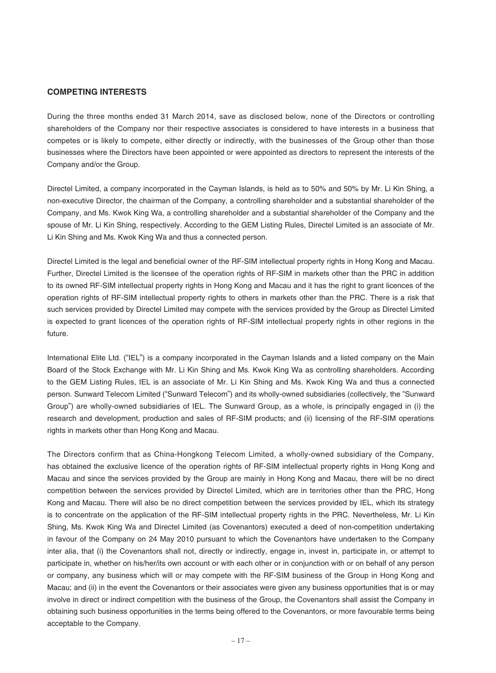#### **COMPETING INTERESTS**

During the three months ended 31 March 2014, save as disclosed below, none of the Directors or controlling shareholders of the Company nor their respective associates is considered to have interests in a business that competes or is likely to compete, either directly or indirectly, with the businesses of the Group other than those businesses where the Directors have been appointed or were appointed as directors to represent the interests of the Company and/or the Group.

Directel Limited, a company incorporated in the Cayman Islands, is held as to 50% and 50% by Mr. Li Kin Shing, a non-executive Director, the chairman of the Company, a controlling shareholder and a substantial shareholder of the Company, and Ms. Kwok King Wa, a controlling shareholder and a substantial shareholder of the Company and the spouse of Mr. Li Kin Shing, respectively. According to the GEM Listing Rules, Directel Limited is an associate of Mr. Li Kin Shing and Ms. Kwok King Wa and thus a connected person.

Directel Limited is the legal and beneficial owner of the RF-SIM intellectual property rights in Hong Kong and Macau. Further, Directel Limited is the licensee of the operation rights of RF-SIM in markets other than the PRC in addition to its owned RF-SIM intellectual property rights in Hong Kong and Macau and it has the right to grant licences of the operation rights of RF-SIM intellectual property rights to others in markets other than the PRC. There is a risk that such services provided by Directel Limited may compete with the services provided by the Group as Directel Limited is expected to grant licences of the operation rights of RF-SIM intellectual property rights in other regions in the future.

International Elite Ltd. ("IEL") is a company incorporated in the Cayman Islands and a listed company on the Main Board of the Stock Exchange with Mr. Li Kin Shing and Ms. Kwok King Wa as controlling shareholders. According to the GEM Listing Rules, IEL is an associate of Mr. Li Kin Shing and Ms. Kwok King Wa and thus a connected person. Sunward Telecom Limited ("Sunward Telecom") and its wholly-owned subsidiaries (collectively, the "Sunward Group") are wholly-owned subsidiaries of IEL. The Sunward Group, as a whole, is principally engaged in (i) the research and development, production and sales of RF-SIM products; and (ii) licensing of the RF-SIM operations rights in markets other than Hong Kong and Macau.

The Directors confirm that as China-Hongkong Telecom Limited, a wholly-owned subsidiary of the Company, has obtained the exclusive licence of the operation rights of RF-SIM intellectual property rights in Hong Kong and Macau and since the services provided by the Group are mainly in Hong Kong and Macau, there will be no direct competition between the services provided by Directel Limited, which are in territories other than the PRC, Hong Kong and Macau. There will also be no direct competition between the services provided by IEL, which its strategy is to concentrate on the application of the RF-SIM intellectual property rights in the PRC. Nevertheless, Mr. Li Kin Shing, Ms. Kwok King Wa and Directel Limited (as Covenantors) executed a deed of non-competition undertaking in favour of the Company on 24 May 2010 pursuant to which the Covenantors have undertaken to the Company inter alia, that (i) the Covenantors shall not, directly or indirectly, engage in, invest in, participate in, or attempt to participate in, whether on his/her/its own account or with each other or in conjunction with or on behalf of any person or company, any business which will or may compete with the RF-SIM business of the Group in Hong Kong and Macau; and (ii) in the event the Covenantors or their associates were given any business opportunities that is or may involve in direct or indirect competition with the business of the Group, the Covenantors shall assist the Company in obtaining such business opportunities in the terms being offered to the Covenantors, or more favourable terms being acceptable to the Company.